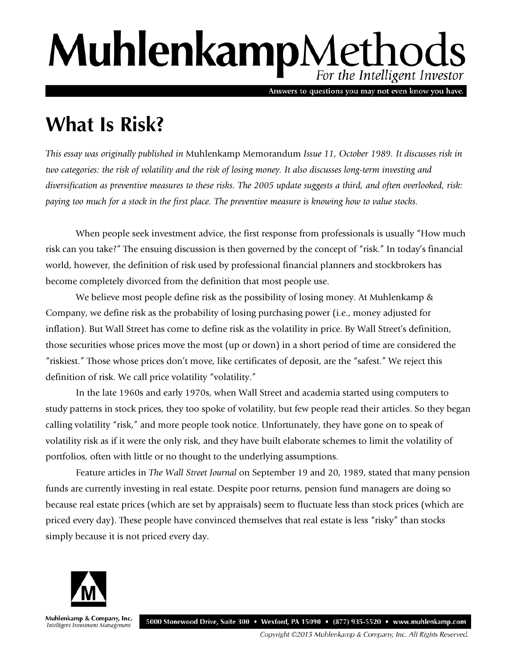# MuhlenkampMethods For the Intelligent Investor

Answers to questions you may not even know you have.

## **What Is Risk?**

*This essay was originally published in* Muhlenkamp Memorandum *Issue 11, October 1989. It discusses risk in two categories: the risk of volatility and the risk of losing money. It also discusses long-term investing and diversification as preventive measures to these risks. The 2005 update suggests a third, and often overlooked, risk: paying too much for a stock in the first place. The preventive measure is knowing how to value stocks.* 

When people seek investment advice, the first response from professionals is usually "How much risk can you take?" The ensuing discussion is then governed by the concept of "risk." In today's financial world, however, the definition of risk used by professional financial planners and stockbrokers has become completely divorced from the definition that most people use.

We believe most people define risk as the possibility of losing money. At Muhlenkamp & Company, we define risk as the probability of losing purchasing power (i.e., money adjusted for inflation). But Wall Street has come to define risk as the volatility in price. By Wall Street's definition, those securities whose prices move the most (up or down) in a short period of time are considered the "riskiest." Those whose prices don't move, like certificates of deposit, are the "safest." We reject this definition of risk. We call price volatility "volatility."

In the late 1960s and early 1970s, when Wall Street and academia started using computers to study patterns in stock prices, they too spoke of volatility, but few people read their articles. So they began calling volatility "risk," and more people took notice. Unfortunately, they have gone on to speak of volatility risk as if it were the only risk, and they have built elaborate schemes to limit the volatility of portfolios, often with little or no thought to the underlying assumptions.

Feature articles in *The Wall Street Journal* on September 19 and 20, 1989, stated that many pension funds are currently investing in real estate. Despite poor returns, pension fund managers are doing so because real estate prices (which are set by appraisals) seem to fluctuate less than stock prices (which are priced every day). These people have convinced themselves that real estate is less "risky" than stocks simply because it is not priced every day.



Muhlenkamp & Company, Inc. Intelligent Investment Management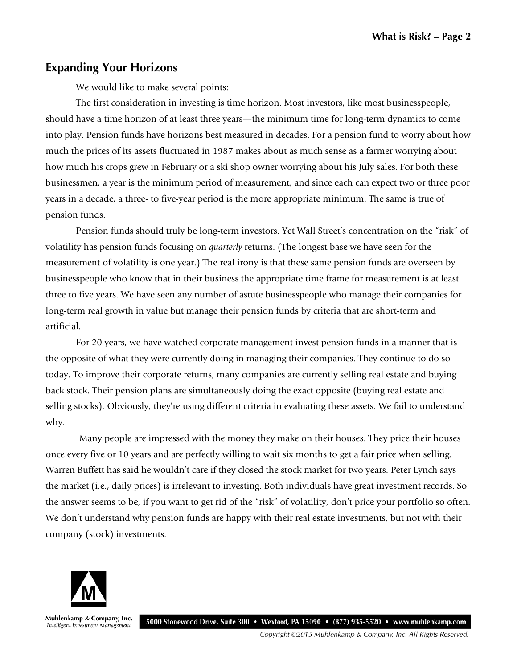#### **Expanding Your Horizons**

We would like to make several points:

The first consideration in investing is time horizon. Most investors, like most businesspeople, should have a time horizon of at least three years—the minimum time for long-term dynamics to come into play. Pension funds have horizons best measured in decades. For a pension fund to worry about how much the prices of its assets fluctuated in 1987 makes about as much sense as a farmer worrying about how much his crops grew in February or a ski shop owner worrying about his July sales. For both these businessmen, a year is the minimum period of measurement, and since each can expect two or three poor years in a decade, a three- to five-year period is the more appropriate minimum. The same is true of pension funds.

Pension funds should truly be long-term investors. Yet Wall Street's concentration on the "risk" of volatility has pension funds focusing on *quarterly* returns. (The longest base we have seen for the measurement of volatility is one year.) The real irony is that these same pension funds are overseen by businesspeople who know that in their business the appropriate time frame for measurement is at least three to five years. We have seen any number of astute businesspeople who manage their companies for long-term real growth in value but manage their pension funds by criteria that are short-term and artificial.

For 20 years, we have watched corporate management invest pension funds in a manner that is the opposite of what they were currently doing in managing their companies. They continue to do so today. To improve their corporate returns, many companies are currently selling real estate and buying back stock. Their pension plans are simultaneously doing the exact opposite (buying real estate and selling stocks). Obviously, they're using different criteria in evaluating these assets. We fail to understand why.

 Many people are impressed with the money they make on their houses. They price their houses once every five or 10 years and are perfectly willing to wait six months to get a fair price when selling. Warren Buffett has said he wouldn't care if they closed the stock market for two years. Peter Lynch says the market (i.e., daily prices) is irrelevant to investing. Both individuals have great investment records. So the answer seems to be, if you want to get rid of the "risk" of volatility, don't price your portfolio so often. We don't understand why pension funds are happy with their real estate investments, but not with their company (stock) investments.



Muhlenkamp & Company, Inc. 5000 Stonewood Drive, Suite 300 • Wexford, PA 15090 • (877) 935-5520 • www.muhlenkamp.com Intelligent Investment Management

Copyright ©2015 Muhlenkamp & Company, Inc. All Rights Reserved.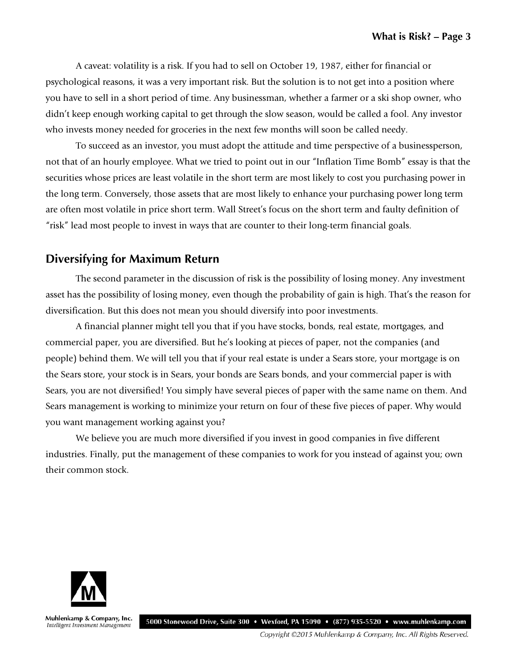A caveat: volatility is a risk. If you had to sell on October 19, 1987, either for financial or psychological reasons, it was a very important risk. But the solution is to not get into a position where you have to sell in a short period of time. Any businessman, whether a farmer or a ski shop owner, who didn't keep enough working capital to get through the slow season, would be called a fool. Any investor who invests money needed for groceries in the next few months will soon be called needy.

To succeed as an investor, you must adopt the attitude and time perspective of a businessperson, not that of an hourly employee. What we tried to point out in our "Inflation Time Bomb" essay is that the securities whose prices are least volatile in the short term are most likely to cost you purchasing power in the long term. Conversely, those assets that are most likely to enhance your purchasing power long term are often most volatile in price short term. Wall Street's focus on the short term and faulty definition of "risk" lead most people to invest in ways that are counter to their long-term financial goals.

#### **Diversifying for Maximum Return**

The second parameter in the discussion of risk is the possibility of losing money. Any investment asset has the possibility of losing money, even though the probability of gain is high. That's the reason for diversification. But this does not mean you should diversify into poor investments.

A financial planner might tell you that if you have stocks, bonds, real estate, mortgages, and commercial paper, you are diversified. But he's looking at pieces of paper, not the companies (and people) behind them. We will tell you that if your real estate is under a Sears store, your mortgage is on the Sears store, your stock is in Sears, your bonds are Sears bonds, and your commercial paper is with Sears, you are not diversified! You simply have several pieces of paper with the same name on them. And Sears management is working to minimize your return on four of these five pieces of paper. Why would you want management working against you?

We believe you are much more diversified if you invest in good companies in five different industries. Finally, put the management of these companies to work for you instead of against you; own their common stock.



Muhlenkamp & Company, Inc. Intelligent Investment Management

5000 Stonewood Drive, Suite 300 • Wexford, PA 15090 • (877) 935-5520 • www.muhlenkamp.com

Copyright ©2015 Muhlenkamp & Company, Inc. All Rights Reserved.